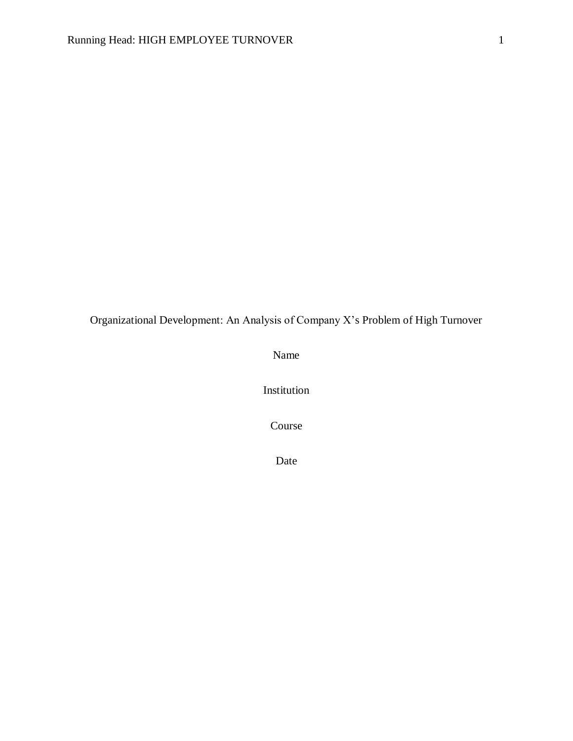Organizational Development: An Analysis of Company X's Problem of High Turnover

Name

Institution

Course

Date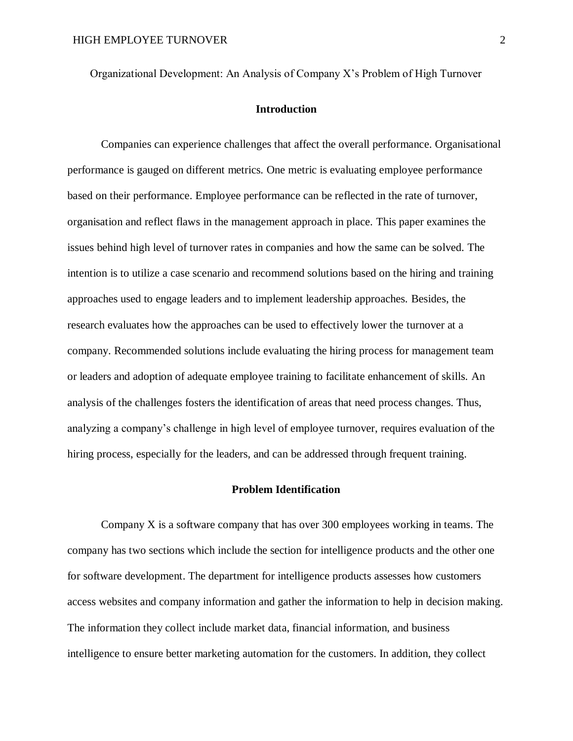Organizational Development: An Analysis of Company X's Problem of High Turnover

# **Introduction**

Companies can experience challenges that affect the overall performance. Organisational performance is gauged on different metrics. One metric is evaluating employee performance based on their performance. Employee performance can be reflected in the rate of turnover, organisation and reflect flaws in the management approach in place. This paper examines the issues behind high level of turnover rates in companies and how the same can be solved. The intention is to utilize a case scenario and recommend solutions based on the hiring and training approaches used to engage leaders and to implement leadership approaches. Besides, the research evaluates how the approaches can be used to effectively lower the turnover at a company. Recommended solutions include evaluating the hiring process for management team or leaders and adoption of adequate employee training to facilitate enhancement of skills. An analysis of the challenges fosters the identification of areas that need process changes. Thus, analyzing a company's challenge in high level of employee turnover, requires evaluation of the hiring process, especially for the leaders, and can be addressed through frequent training.

## **Problem Identification**

Company X is a software company that has over 300 employees working in teams. The company has two sections which include the section for intelligence products and the other one for software development. The department for intelligence products assesses how customers access websites and company information and gather the information to help in decision making. The information they collect include market data, financial information, and business intelligence to ensure better marketing automation for the customers. In addition, they collect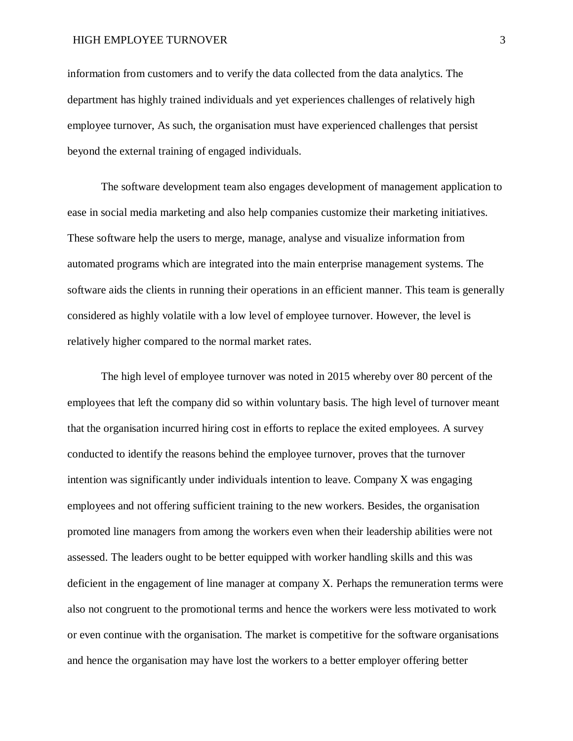information from customers and to verify the data collected from the data analytics. The department has highly trained individuals and yet experiences challenges of relatively high employee turnover, As such, the organisation must have experienced challenges that persist beyond the external training of engaged individuals.

The software development team also engages development of management application to ease in social media marketing and also help companies customize their marketing initiatives. These software help the users to merge, manage, analyse and visualize information from automated programs which are integrated into the main enterprise management systems. The software aids the clients in running their operations in an efficient manner. This team is generally considered as highly volatile with a low level of employee turnover. However, the level is relatively higher compared to the normal market rates.

The high level of employee turnover was noted in 2015 whereby over 80 percent of the employees that left the company did so within voluntary basis. The high level of turnover meant that the organisation incurred hiring cost in efforts to replace the exited employees. A survey conducted to identify the reasons behind the employee turnover, proves that the turnover intention was significantly under individuals intention to leave. Company X was engaging employees and not offering sufficient training to the new workers. Besides, the organisation promoted line managers from among the workers even when their leadership abilities were not assessed. The leaders ought to be better equipped with worker handling skills and this was deficient in the engagement of line manager at company X. Perhaps the remuneration terms were also not congruent to the promotional terms and hence the workers were less motivated to work or even continue with the organisation. The market is competitive for the software organisations and hence the organisation may have lost the workers to a better employer offering better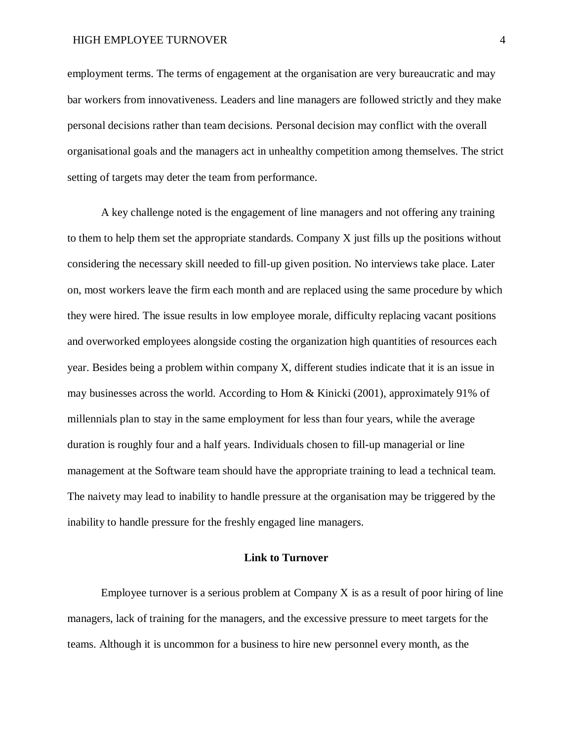employment terms. The terms of engagement at the organisation are very bureaucratic and may bar workers from innovativeness. Leaders and line managers are followed strictly and they make personal decisions rather than team decisions. Personal decision may conflict with the overall organisational goals and the managers act in unhealthy competition among themselves. The strict setting of targets may deter the team from performance.

A key challenge noted is the engagement of line managers and not offering any training to them to help them set the appropriate standards. Company X just fills up the positions without considering the necessary skill needed to fill-up given position. No interviews take place. Later on, most workers leave the firm each month and are replaced using the same procedure by which they were hired. The issue results in low employee morale, difficulty replacing vacant positions and overworked employees alongside costing the organization high quantities of resources each year. Besides being a problem within company X, different studies indicate that it is an issue in may businesses across the world. According to Hom & Kinicki (2001), approximately 91% of millennials plan to stay in the same employment for less than four years, while the average duration is roughly four and a half years. Individuals chosen to fill-up managerial or line management at the Software team should have the appropriate training to lead a technical team. The naivety may lead to inability to handle pressure at the organisation may be triggered by the inability to handle pressure for the freshly engaged line managers.

# **Link to Turnover**

Employee turnover is a serious problem at Company X is as a result of poor hiring of line managers, lack of training for the managers, and the excessive pressure to meet targets for the teams. Although it is uncommon for a business to hire new personnel every month, as the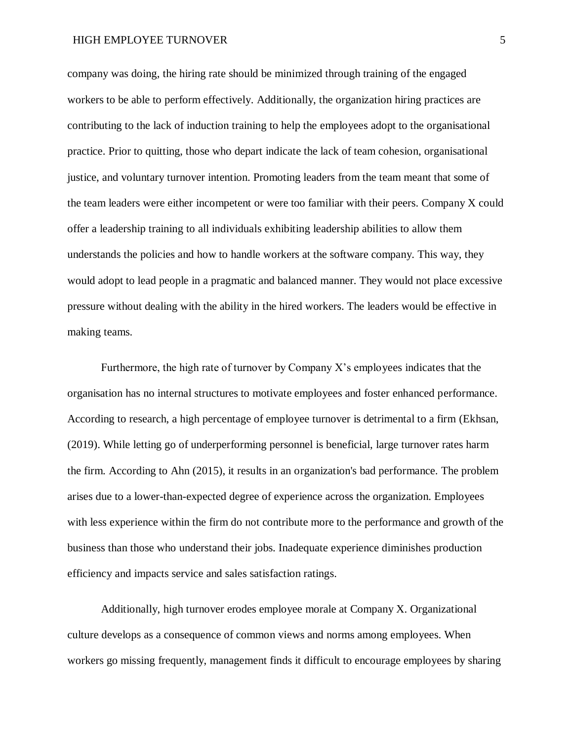company was doing, the hiring rate should be minimized through training of the engaged workers to be able to perform effectively. Additionally, the organization hiring practices are contributing to the lack of induction training to help the employees adopt to the organisational practice. Prior to quitting, those who depart indicate the lack of team cohesion, organisational justice, and voluntary turnover intention. Promoting leaders from the team meant that some of the team leaders were either incompetent or were too familiar with their peers. Company X could offer a leadership training to all individuals exhibiting leadership abilities to allow them understands the policies and how to handle workers at the software company. This way, they would adopt to lead people in a pragmatic and balanced manner. They would not place excessive pressure without dealing with the ability in the hired workers. The leaders would be effective in making teams.

Furthermore, the high rate of turnover by Company X's employees indicates that the organisation has no internal structures to motivate employees and foster enhanced performance. According to research, a high percentage of employee turnover is detrimental to a firm (Ekhsan, (2019). While letting go of underperforming personnel is beneficial, large turnover rates harm the firm. According to Ahn (2015), it results in an organization's bad performance. The problem arises due to a lower-than-expected degree of experience across the organization. Employees with less experience within the firm do not contribute more to the performance and growth of the business than those who understand their jobs. Inadequate experience diminishes production efficiency and impacts service and sales satisfaction ratings.

Additionally, high turnover erodes employee morale at Company X. Organizational culture develops as a consequence of common views and norms among employees. When workers go missing frequently, management finds it difficult to encourage employees by sharing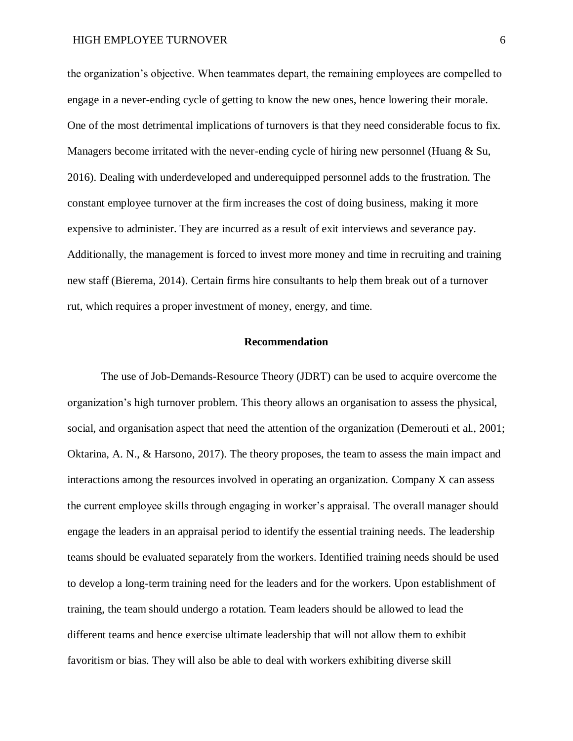the organization's objective. When teammates depart, the remaining employees are compelled to engage in a never-ending cycle of getting to know the new ones, hence lowering their morale. One of the most detrimental implications of turnovers is that they need considerable focus to fix. Managers become irritated with the never-ending cycle of hiring new personnel (Huang & Su, 2016). Dealing with underdeveloped and underequipped personnel adds to the frustration. The constant employee turnover at the firm increases the cost of doing business, making it more expensive to administer. They are incurred as a result of exit interviews and severance pay. Additionally, the management is forced to invest more money and time in recruiting and training new staff (Bierema, 2014). Certain firms hire consultants to help them break out of a turnover rut, which requires a proper investment of money, energy, and time.

# **Recommendation**

The use of Job-Demands-Resource Theory (JDRT) can be used to acquire overcome the organization's high turnover problem. This theory allows an organisation to assess the physical, social, and organisation aspect that need the attention of the organization (Demerouti et al., 2001; Oktarina, A. N., & Harsono, 2017). The theory proposes, the team to assess the main impact and interactions among the resources involved in operating an organization. Company X can assess the current employee skills through engaging in worker's appraisal. The overall manager should engage the leaders in an appraisal period to identify the essential training needs. The leadership teams should be evaluated separately from the workers. Identified training needs should be used to develop a long-term training need for the leaders and for the workers. Upon establishment of training, the team should undergo a rotation. Team leaders should be allowed to lead the different teams and hence exercise ultimate leadership that will not allow them to exhibit favoritism or bias. They will also be able to deal with workers exhibiting diverse skill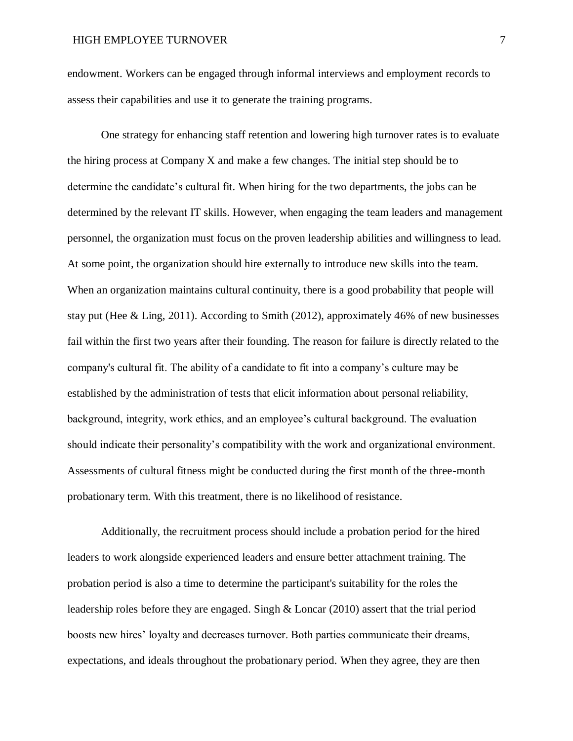endowment. Workers can be engaged through informal interviews and employment records to assess their capabilities and use it to generate the training programs.

One strategy for enhancing staff retention and lowering high turnover rates is to evaluate the hiring process at Company X and make a few changes. The initial step should be to determine the candidate's cultural fit. When hiring for the two departments, the jobs can be determined by the relevant IT skills. However, when engaging the team leaders and management personnel, the organization must focus on the proven leadership abilities and willingness to lead. At some point, the organization should hire externally to introduce new skills into the team. When an organization maintains cultural continuity, there is a good probability that people will stay put (Hee & Ling, 2011). According to Smith (2012), approximately 46% of new businesses fail within the first two years after their founding. The reason for failure is directly related to the company's cultural fit. The ability of a candidate to fit into a company's culture may be established by the administration of tests that elicit information about personal reliability, background, integrity, work ethics, and an employee's cultural background. The evaluation should indicate their personality's compatibility with the work and organizational environment. Assessments of cultural fitness might be conducted during the first month of the three-month probationary term. With this treatment, there is no likelihood of resistance.

Additionally, the recruitment process should include a probation period for the hired leaders to work alongside experienced leaders and ensure better attachment training. The probation period is also a time to determine the participant's suitability for the roles the leadership roles before they are engaged. Singh & Loncar (2010) assert that the trial period boosts new hires' loyalty and decreases turnover. Both parties communicate their dreams, expectations, and ideals throughout the probationary period. When they agree, they are then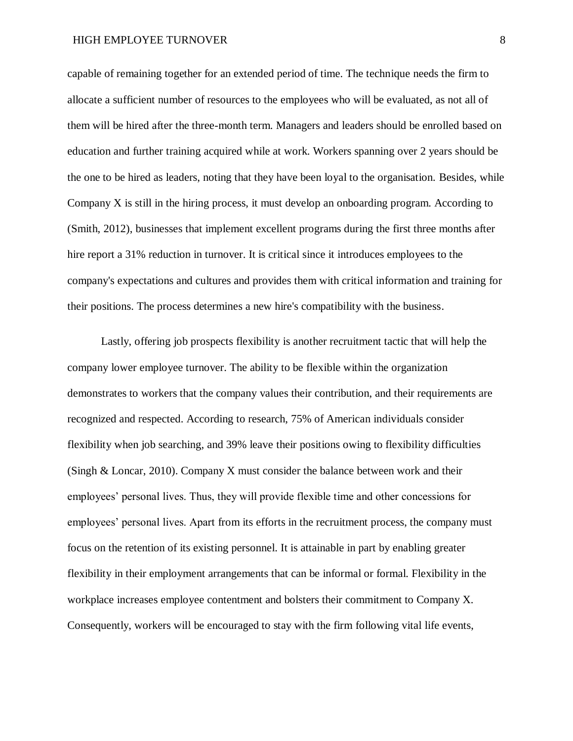capable of remaining together for an extended period of time. The technique needs the firm to allocate a sufficient number of resources to the employees who will be evaluated, as not all of them will be hired after the three-month term. Managers and leaders should be enrolled based on education and further training acquired while at work. Workers spanning over 2 years should be the one to be hired as leaders, noting that they have been loyal to the organisation. Besides, while Company X is still in the hiring process, it must develop an onboarding program. According to (Smith, 2012), businesses that implement excellent programs during the first three months after hire report a 31% reduction in turnover. It is critical since it introduces employees to the company's expectations and cultures and provides them with critical information and training for their positions. The process determines a new hire's compatibility with the business.

Lastly, offering job prospects flexibility is another recruitment tactic that will help the company lower employee turnover. The ability to be flexible within the organization demonstrates to workers that the company values their contribution, and their requirements are recognized and respected. According to research, 75% of American individuals consider flexibility when job searching, and 39% leave their positions owing to flexibility difficulties (Singh & Loncar, 2010). Company X must consider the balance between work and their employees' personal lives. Thus, they will provide flexible time and other concessions for employees' personal lives. Apart from its efforts in the recruitment process, the company must focus on the retention of its existing personnel. It is attainable in part by enabling greater flexibility in their employment arrangements that can be informal or formal. Flexibility in the workplace increases employee contentment and bolsters their commitment to Company X. Consequently, workers will be encouraged to stay with the firm following vital life events,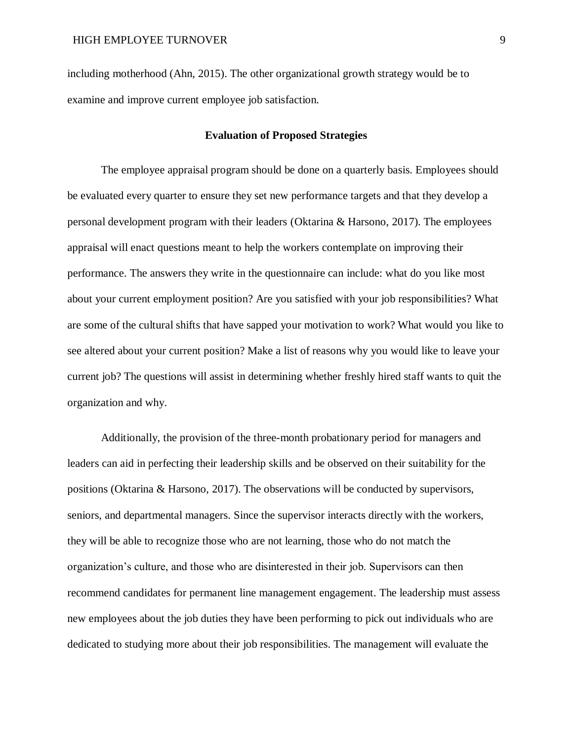including motherhood (Ahn, 2015). The other organizational growth strategy would be to examine and improve current employee job satisfaction.

### **Evaluation of Proposed Strategies**

The employee appraisal program should be done on a quarterly basis. Employees should be evaluated every quarter to ensure they set new performance targets and that they develop a personal development program with their leaders (Oktarina & Harsono, 2017). The employees appraisal will enact questions meant to help the workers contemplate on improving their performance. The answers they write in the questionnaire can include: what do you like most about your current employment position? Are you satisfied with your job responsibilities? What are some of the cultural shifts that have sapped your motivation to work? What would you like to see altered about your current position? Make a list of reasons why you would like to leave your current job? The questions will assist in determining whether freshly hired staff wants to quit the organization and why.

Additionally, the provision of the three-month probationary period for managers and leaders can aid in perfecting their leadership skills and be observed on their suitability for the positions (Oktarina & Harsono, 2017). The observations will be conducted by supervisors, seniors, and departmental managers. Since the supervisor interacts directly with the workers, they will be able to recognize those who are not learning, those who do not match the organization's culture, and those who are disinterested in their job. Supervisors can then recommend candidates for permanent line management engagement. The leadership must assess new employees about the job duties they have been performing to pick out individuals who are dedicated to studying more about their job responsibilities. The management will evaluate the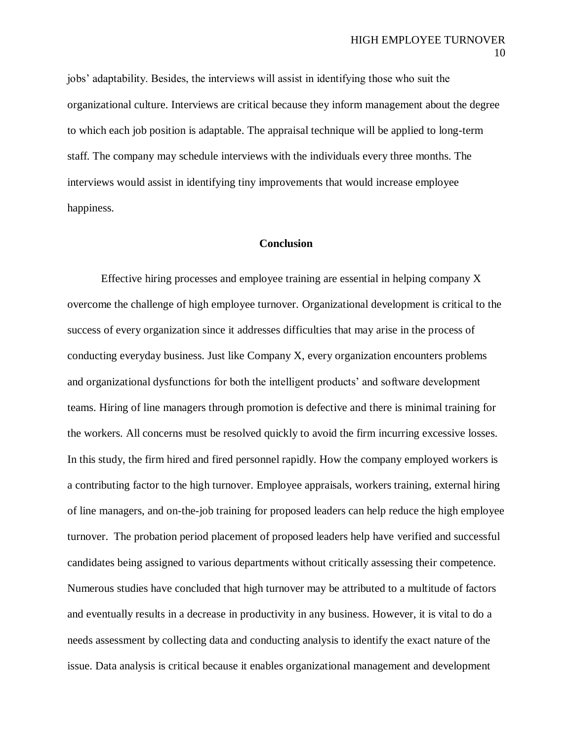jobs' adaptability. Besides, the interviews will assist in identifying those who suit the organizational culture. Interviews are critical because they inform management about the degree to which each job position is adaptable. The appraisal technique will be applied to long-term staff. The company may schedule interviews with the individuals every three months. The interviews would assist in identifying tiny improvements that would increase employee happiness.

# **Conclusion**

Effective hiring processes and employee training are essential in helping company X overcome the challenge of high employee turnover. Organizational development is critical to the success of every organization since it addresses difficulties that may arise in the process of conducting everyday business. Just like Company X, every organization encounters problems and organizational dysfunctions for both the intelligent products' and software development teams. Hiring of line managers through promotion is defective and there is minimal training for the workers. All concerns must be resolved quickly to avoid the firm incurring excessive losses. In this study, the firm hired and fired personnel rapidly. How the company employed workers is a contributing factor to the high turnover. Employee appraisals, workers training, external hiring of line managers, and on-the-job training for proposed leaders can help reduce the high employee turnover. The probation period placement of proposed leaders help have verified and successful candidates being assigned to various departments without critically assessing their competence. Numerous studies have concluded that high turnover may be attributed to a multitude of factors and eventually results in a decrease in productivity in any business. However, it is vital to do a needs assessment by collecting data and conducting analysis to identify the exact nature of the issue. Data analysis is critical because it enables organizational management and development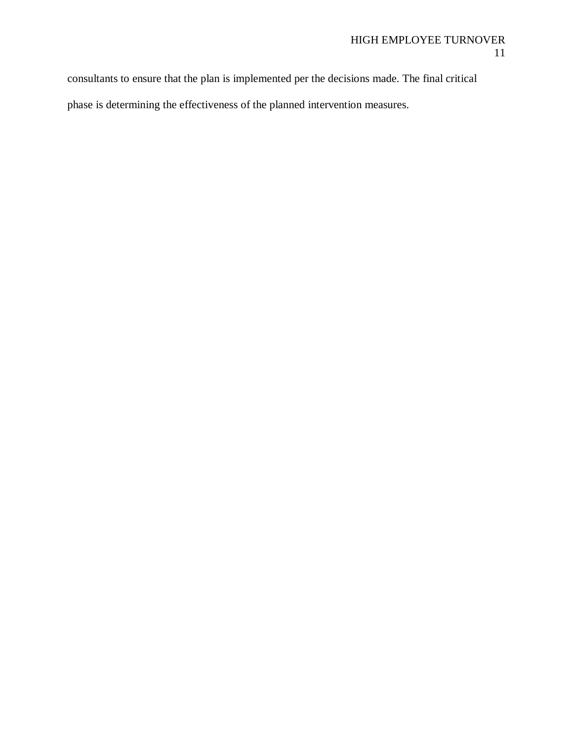consultants to ensure that the plan is implemented per the decisions made. The final critical phase is determining the effectiveness of the planned intervention measures.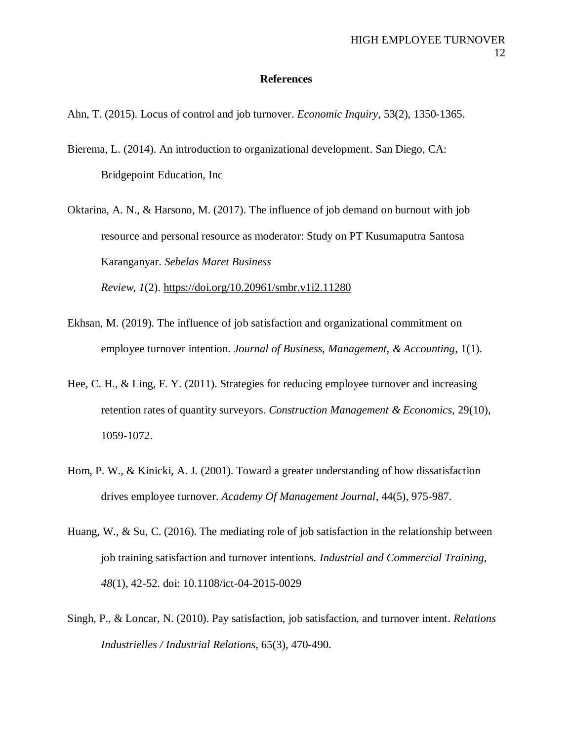## **References**

- Ahn, T. (2015). Locus of control and job turnover. *Economic Inquiry*, 53(2), 1350-1365.
- Bierema, L. (2014). An introduction to organizational development. San Diego, CA: Bridgepoint Education, Inc
- Oktarina, A. N., & Harsono, M. (2017). The influence of job demand on burnout with job resource and personal resource as moderator: Study on PT Kusumaputra Santosa Karanganyar. *Sebelas Maret Business Review*, *1*(2). <https://doi.org/10.20961/smbr.v1i2.11280>
- Ekhsan, M. (2019). The influence of job satisfaction and organizational commitment on employee turnover intention. *Journal of Business, Management, & Accounting*, 1(1).
- Hee, C. H., & Ling, F. Y. (2011). Strategies for reducing employee turnover and increasing retention rates of quantity surveyors. *Construction Management & Economics*, 29(10), 1059-1072.
- Hom, P. W., & Kinicki, A. J. (2001). Toward a greater understanding of how dissatisfaction drives employee turnover. *Academy Of Management Journal*, 44(5), 975-987.
- Huang, W., & Su, C. (2016). The mediating role of job satisfaction in the relationship between job training satisfaction and turnover intentions. *Industrial and Commercial Training*, *48*(1), 42-52. doi: 10.1108/ict-04-2015-0029
- Singh, P., & Loncar, N. (2010). Pay satisfaction, job satisfaction, and turnover intent. *Relations Industrielles / Industrial Relations*, 65(3), 470-490.